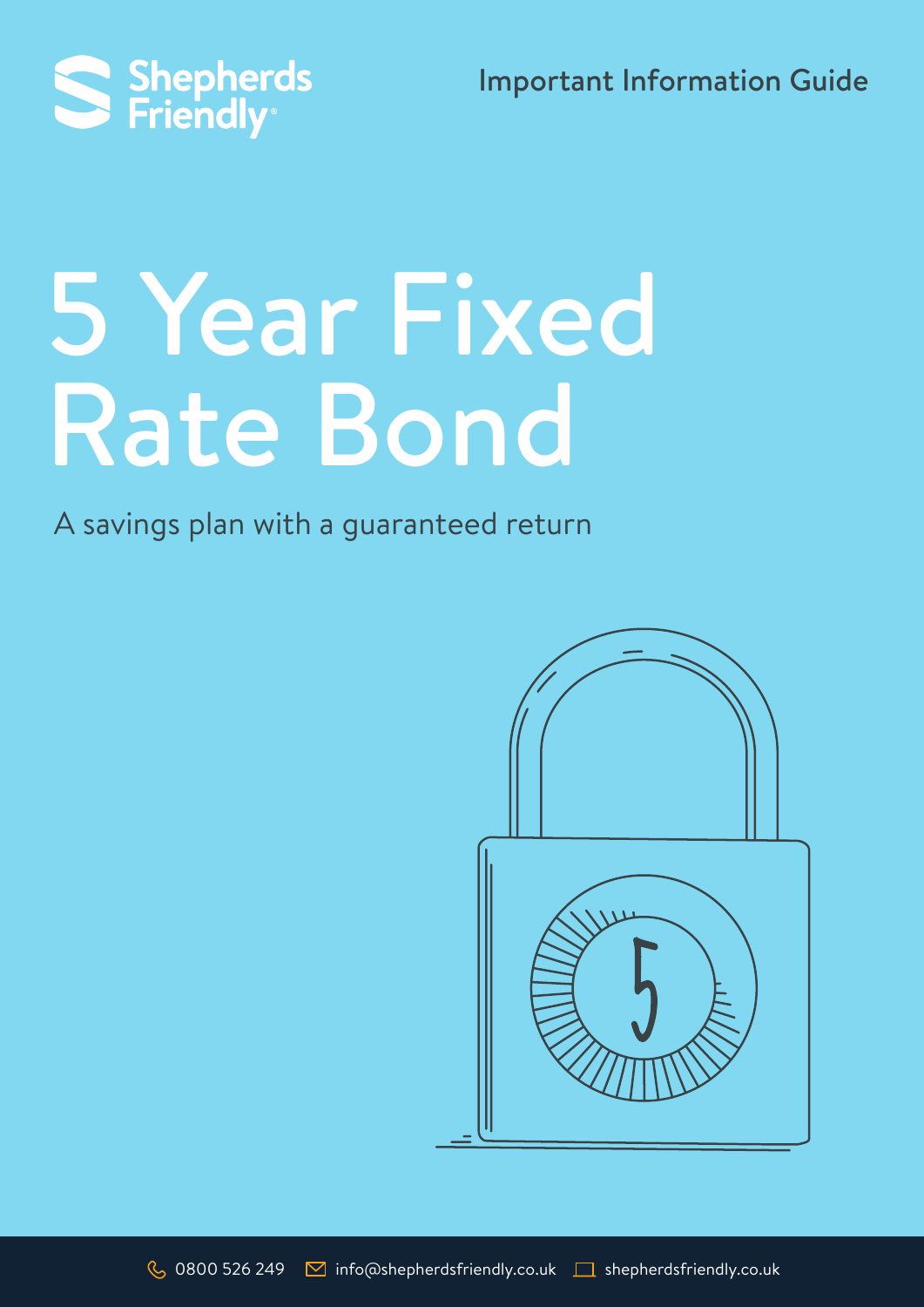Important Information Guide



# 5 Year Fixed Rate Bond

A savings plan with a guaranteed return

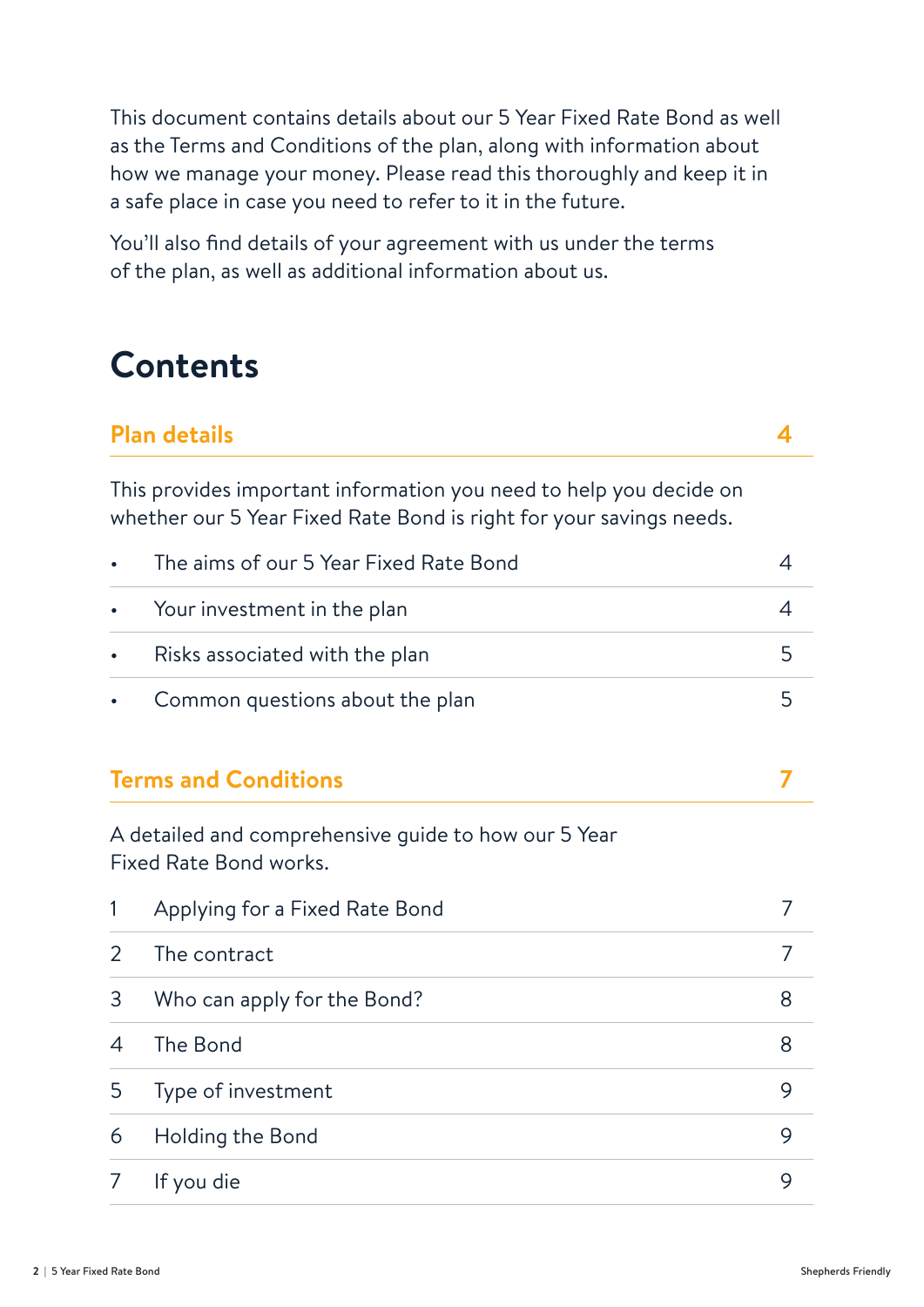This document contains details about our 5 Year Fixed Rate Bond as well as the Terms and Conditions of the plan, along with information about how we manage your money. Please read this thoroughly and keep it in a safe place in case you need to refer to it in the future.

You'll also find details of your agreement with us under the terms of the plan, as well as additional information about us.

### **Contents**

#### **Plan details 4**

This provides important information you need to help you decide on whether our 5 Year Fixed Rate Bond is right for your savings needs.

| $\bullet$ | The aims of our 5 Year Fixed Rate Bond |  |
|-----------|----------------------------------------|--|
|           | • Your investment in the plan          |  |
|           | • Risks associated with the plan       |  |
|           | • Common questions about the plan      |  |

#### **Terms and Conditions 7**

A detailed and comprehensive guide to how our 5 Year Fixed Rate Bond works.

|               | Applying for a Fixed Rate Bond |   |
|---------------|--------------------------------|---|
| $\mathcal{P}$ | The contract                   |   |
| 3             | Who can apply for the Bond?    | 8 |
| 4             | The Bond                       | 8 |
| 5             | Type of investment             | 9 |
| 6             | Holding the Bond               | Q |
|               | If you die                     |   |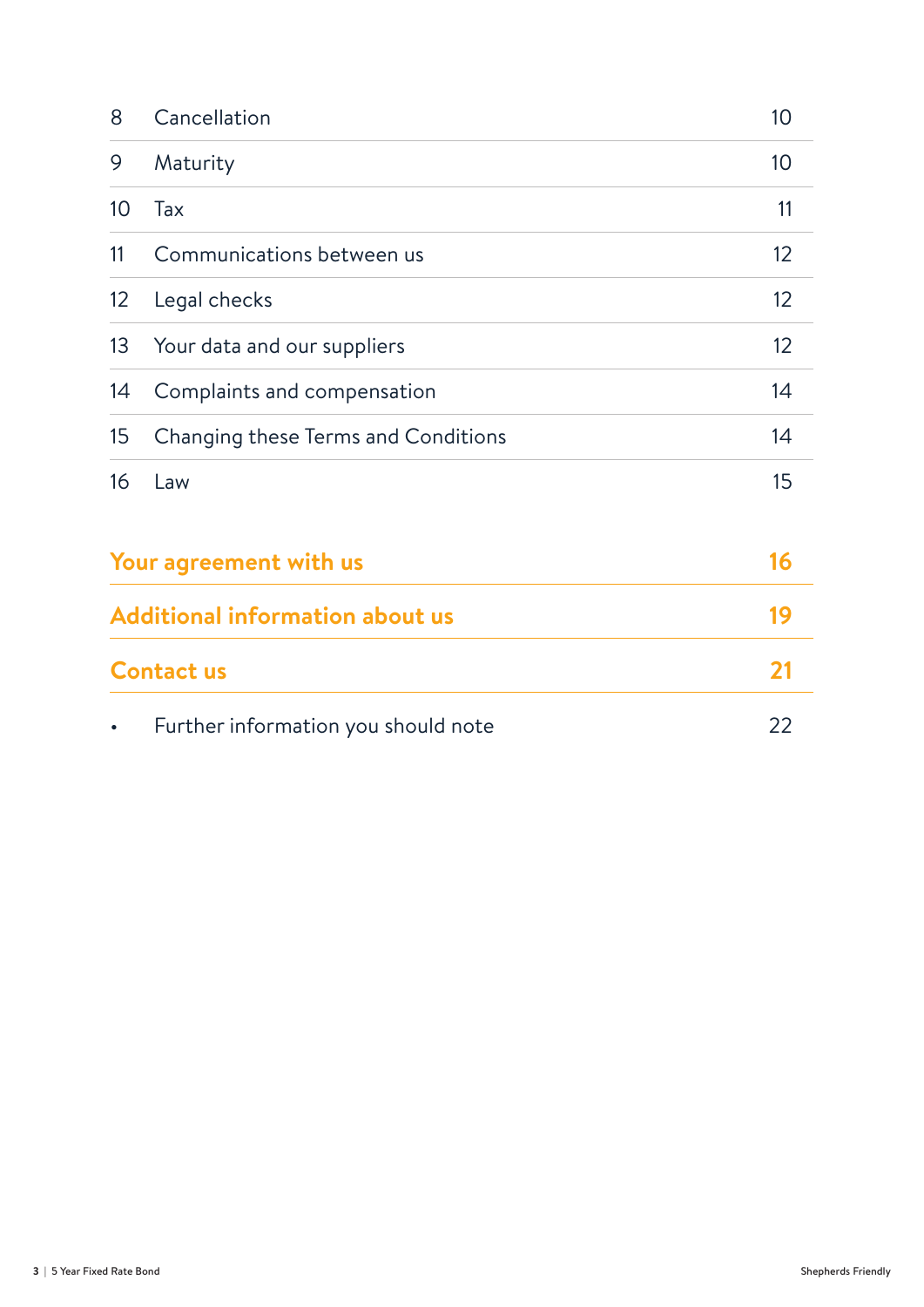| 8                                      | Cancellation                        | 10 |
|----------------------------------------|-------------------------------------|----|
| 9                                      | Maturity                            | 10 |
| 10 <sup>°</sup>                        | Tax                                 | 11 |
| 11                                     | Communications between us           | 12 |
| 12                                     | Legal checks                        | 12 |
| 13                                     | Your data and our suppliers         | 12 |
| 14                                     | Complaints and compensation         | 14 |
| 15                                     | Changing these Terms and Conditions | 14 |
| 16                                     | Law                                 | 15 |
| Your agreement with us                 |                                     | 16 |
| <b>Additional information about us</b> |                                     | 19 |
| <b>Contact us</b>                      |                                     | 21 |
|                                        | Further information you should note | 22 |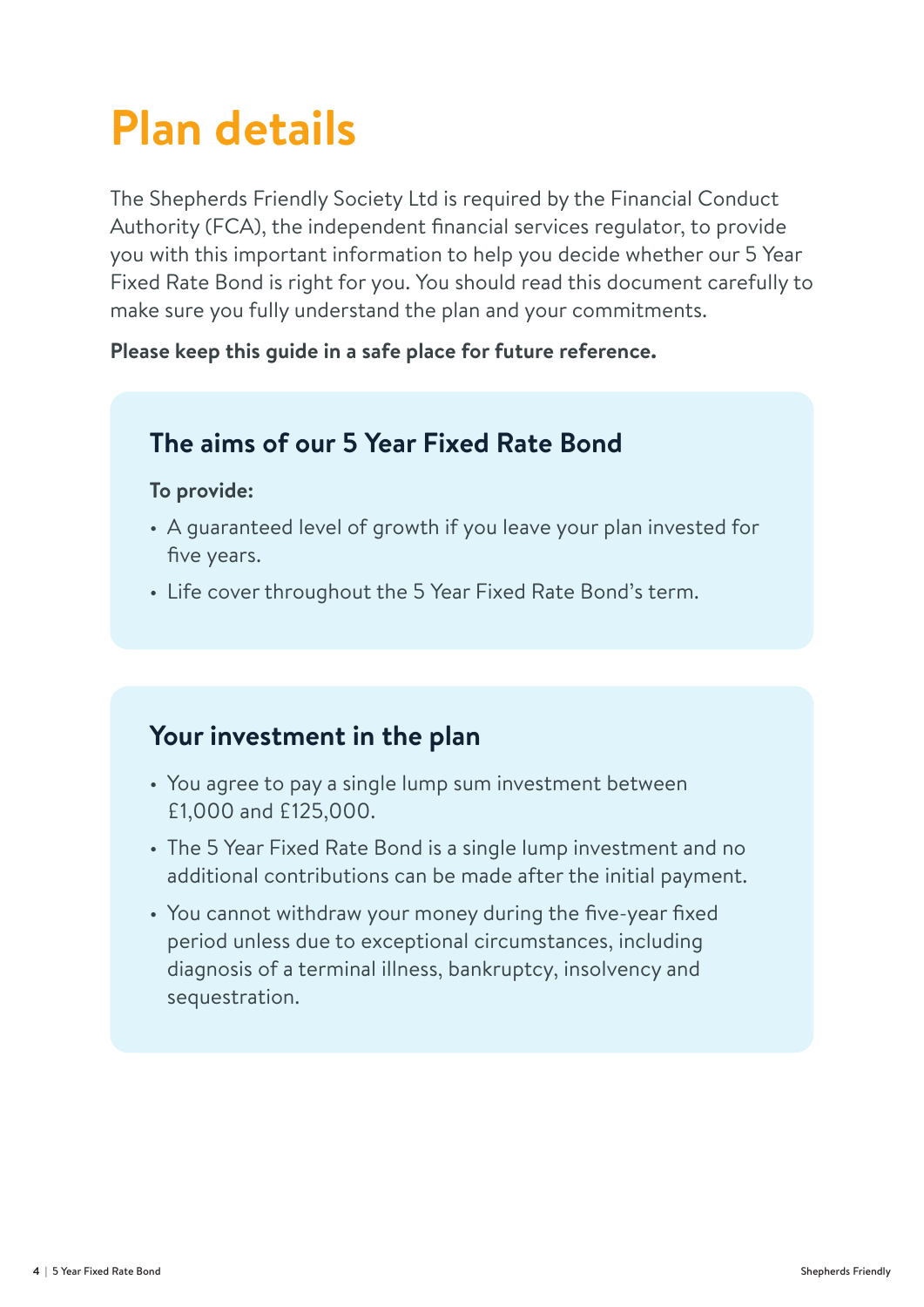# **Plan details**

The Shepherds Friendly Society Ltd is required by the Financial Conduct Authority (FCA), the independent financial services regulator, to provide you with this important information to help you decide whether our 5 Year Fixed Rate Bond is right for you. You should read this document carefully to make sure you fully understand the plan and your commitments.

#### **Please keep this guide in a safe place for future reference.**

### **The aims of our 5 Year Fixed Rate Bond**

#### **To provide:**

- A guaranteed level of growth if you leave your plan invested for five years.
- Life cover throughout the 5 Year Fixed Rate Bond's term.

### **Your investment in the plan**

- You agree to pay a single lump sum investment between £1,000 and £125,000.
- The 5 Year Fixed Rate Bond is a single lump investment and no additional contributions can be made after the initial payment.
- You cannot withdraw your money during the five-year fixed period unless due to exceptional circumstances, including diagnosis of a terminal illness, bankruptcy, insolvency and sequestration.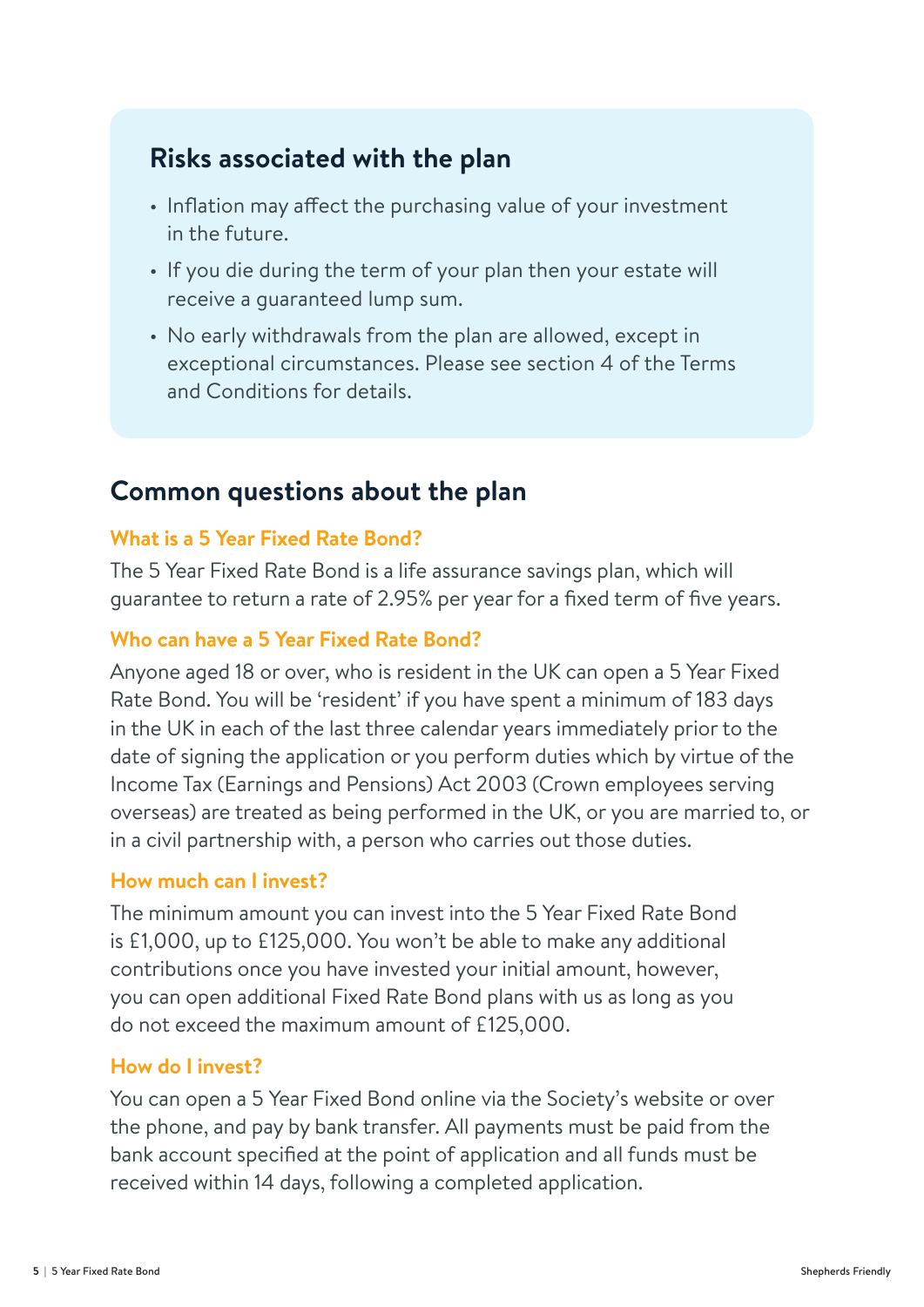### **Risks associated with the plan**

- Inflation may affect the purchasing value of your investment in the future.
- If you die during the term of your plan then your estate will receive a guaranteed lump sum.
- No early withdrawals from the plan are allowed, except in exceptional circumstances. Please see section 4 of the Terms and Conditions for details.

### **Common questions about the plan**

#### **What is a 5 Year Fixed Rate Bond?**

The 5 Year Fixed Rate Bond is a life assurance savings plan, which will guarantee to return a rate of 2.95% per year for a fixed term of five years.

#### **Who can have a 5 Year Fixed Rate Bond?**

Anyone aged 18 or over, who is resident in the UK can open a 5 Year Fixed Rate Bond. You will be 'resident' if you have spent a minimum of 183 days in the UK in each of the last three calendar years immediately prior to the date of signing the application or you perform duties which by virtue of the Income Tax (Earnings and Pensions) Act 2003 (Crown employees serving overseas) are treated as being performed in the UK, or you are married to, or in a civil partnership with, a person who carries out those duties.

#### **How much can I invest?**

The minimum amount you can invest into the 5 Year Fixed Rate Bond is £1,000, up to £125,000. You won't be able to make any additional contributions once you have invested your initial amount, however, you can open additional Fixed Rate Bond plans with us as long as you do not exceed the maximum amount of £125,000.

#### **How do I invest?**

You can open a 5 Year Fixed Bond online via the Society's website or over the phone, and pay by bank transfer. All payments must be paid from the bank account specified at the point of application and all funds must be received within 14 days, following a completed application.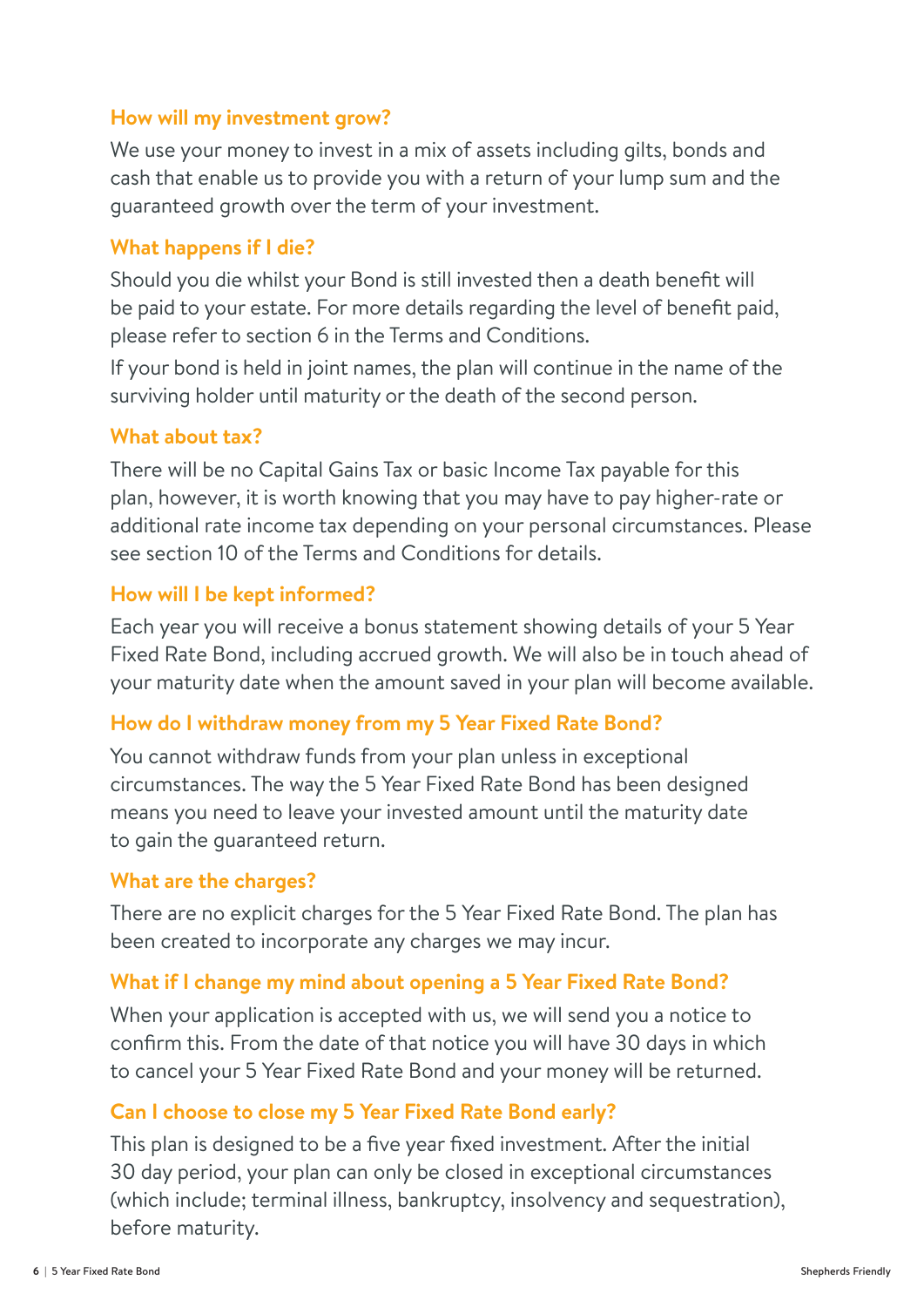#### **How will my investment grow?**

We use your money to invest in a mix of assets including gilts, bonds and cash that enable us to provide you with a return of your lump sum and the guaranteed growth over the term of your investment.

#### **What happens if I die?**

Should you die whilst your Bond is still invested then a death benefit will be paid to your estate. For more details regarding the level of benefit paid, please refer to section 6 in the Terms and Conditions.

If your bond is held in joint names, the plan will continue in the name of the surviving holder until maturity or the death of the second person.

#### **What about tax?**

There will be no Capital Gains Tax or basic Income Tax payable for this plan, however, it is worth knowing that you may have to pay higher-rate or additional rate income tax depending on your personal circumstances. Please see section 10 of the Terms and Conditions for details.

#### **How will I be kept informed?**

Each year you will receive a bonus statement showing details of your 5 Year Fixed Rate Bond, including accrued growth. We will also be in touch ahead of your maturity date when the amount saved in your plan will become available.

#### **How do I withdraw money from my 5 Year Fixed Rate Bond?**

You cannot withdraw funds from your plan unless in exceptional circumstances. The way the 5 Year Fixed Rate Bond has been designed means you need to leave your invested amount until the maturity date to gain the guaranteed return.

#### **What are the charges?**

There are no explicit charges for the 5 Year Fixed Rate Bond. The plan has been created to incorporate any charges we may incur.

#### **What if I change my mind about opening a 5 Year Fixed Rate Bond?**

When your application is accepted with us, we will send you a notice to confirm this. From the date of that notice you will have 30 days in which to cancel your 5 Year Fixed Rate Bond and your money will be returned.

#### **Can I choose to close my 5 Year Fixed Rate Bond early?**

This plan is designed to be a five year fixed investment. After the initial 30 day period, your plan can only be closed in exceptional circumstances (which include; terminal illness, bankruptcy, insolvency and sequestration), before maturity.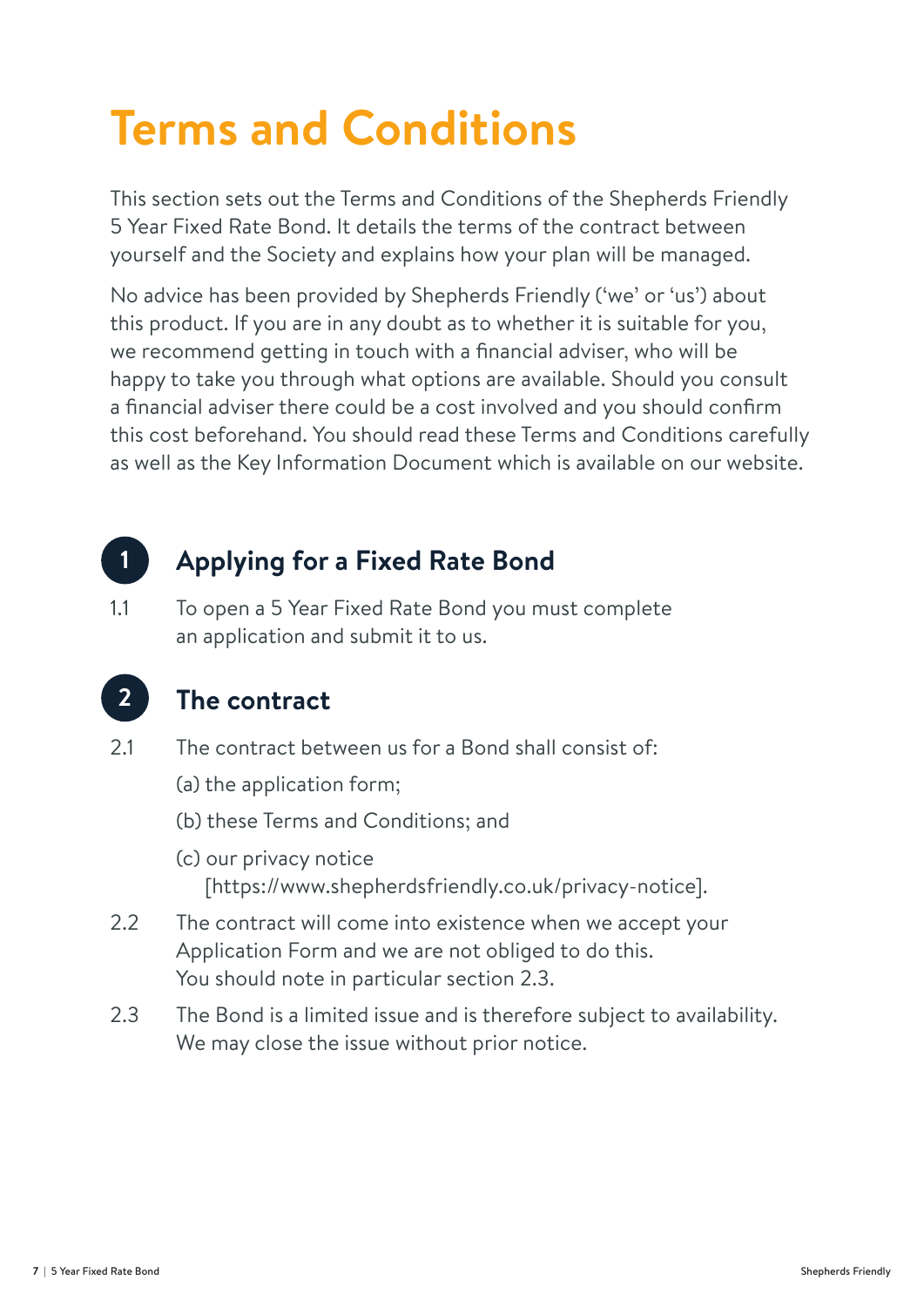# **Terms and Conditions**

This section sets out the Terms and Conditions of the Shepherds Friendly 5 Year Fixed Rate Bond. It details the terms of the contract between yourself and the Society and explains how your plan will be managed.

No advice has been provided by Shepherds Friendly ('we' or 'us') about this product. If you are in any doubt as to whether it is suitable for you, we recommend getting in touch with a financial adviser, who will be happy to take you through what options are available. Should you consult a financial adviser there could be a cost involved and you should confirm this cost beforehand. You should read these Terms and Conditions carefully as well as the Key Information Document which is available on our website.

### **1. Applying for a Fixed Rate Bond**

1.1 To open a 5 Year Fixed Rate Bond you must complete an application and submit it to us.



**1**

### **2. The contract**

- 2.1 The contract between us for a Bond shall consist of:
	- (a) the application form;
	- (b) these Terms and Conditions; and
	- (c) our privacy notice [https://www.shepherdsfriendly.co.uk/privacy-notice].
- 2.2 The contract will come into existence when we accept your Application Form and we are not obliged to do this. You should note in particular section 2.3.
- 2.3 The Bond is a limited issue and is therefore subject to availability. We may close the issue without prior notice.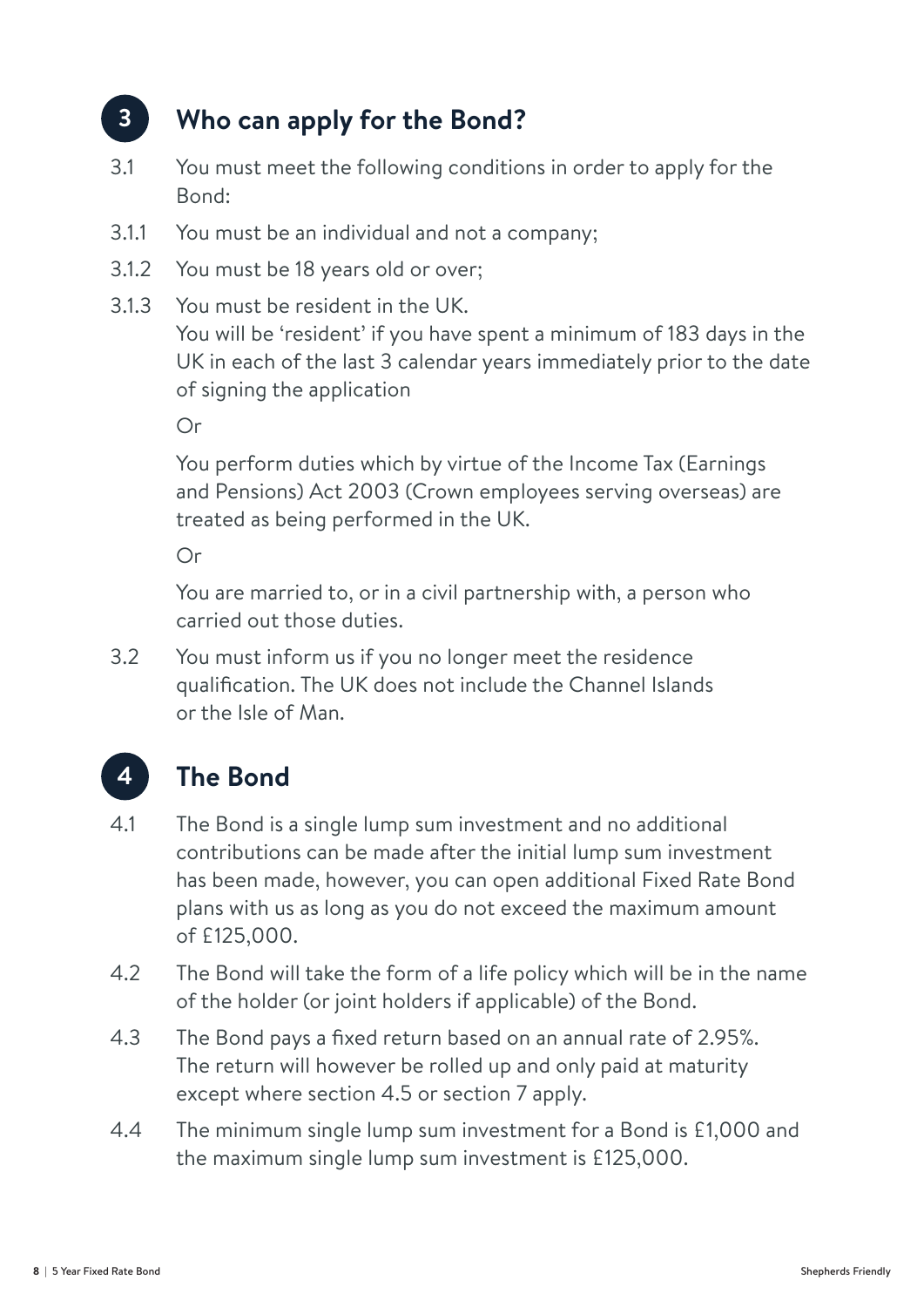#### **3. Who can apply for the Bond? 3**

- 3.1 You must meet the following conditions in order to apply for the Bond:
- 3.1.1 You must be an individual and not a company;
- 3.1.2 You must be 18 years old or over;
- 3.1.3 You must be resident in the UK. You will be 'resident' if you have spent a minimum of 183 days in the UK in each of the last 3 calendar years immediately prior to the date of signing the application

Or

You perform duties which by virtue of the Income Tax (Earnings and Pensions) Act 2003 (Crown employees serving overseas) are treated as being performed in the UK.

Or

You are married to, or in a civil partnership with, a person who carried out those duties.

3.2 You must inform us if you no longer meet the residence qualification. The UK does not include the Channel Islands or the Isle of Man.



- 4.1 The Bond is a single lump sum investment and no additional contributions can be made after the initial lump sum investment has been made, however, you can open additional Fixed Rate Bond plans with us as long as you do not exceed the maximum amount of £125,000.
- 4.2 The Bond will take the form of a life policy which will be in the name of the holder (or joint holders if applicable) of the Bond.
- 4.3 The Bond pays a fixed return based on an annual rate of 2.95%. The return will however be rolled up and only paid at maturity except where section 4.5 or section 7 apply.
- 4.4 The minimum single lump sum investment for a Bond is £1,000 and the maximum single lump sum investment is £125,000.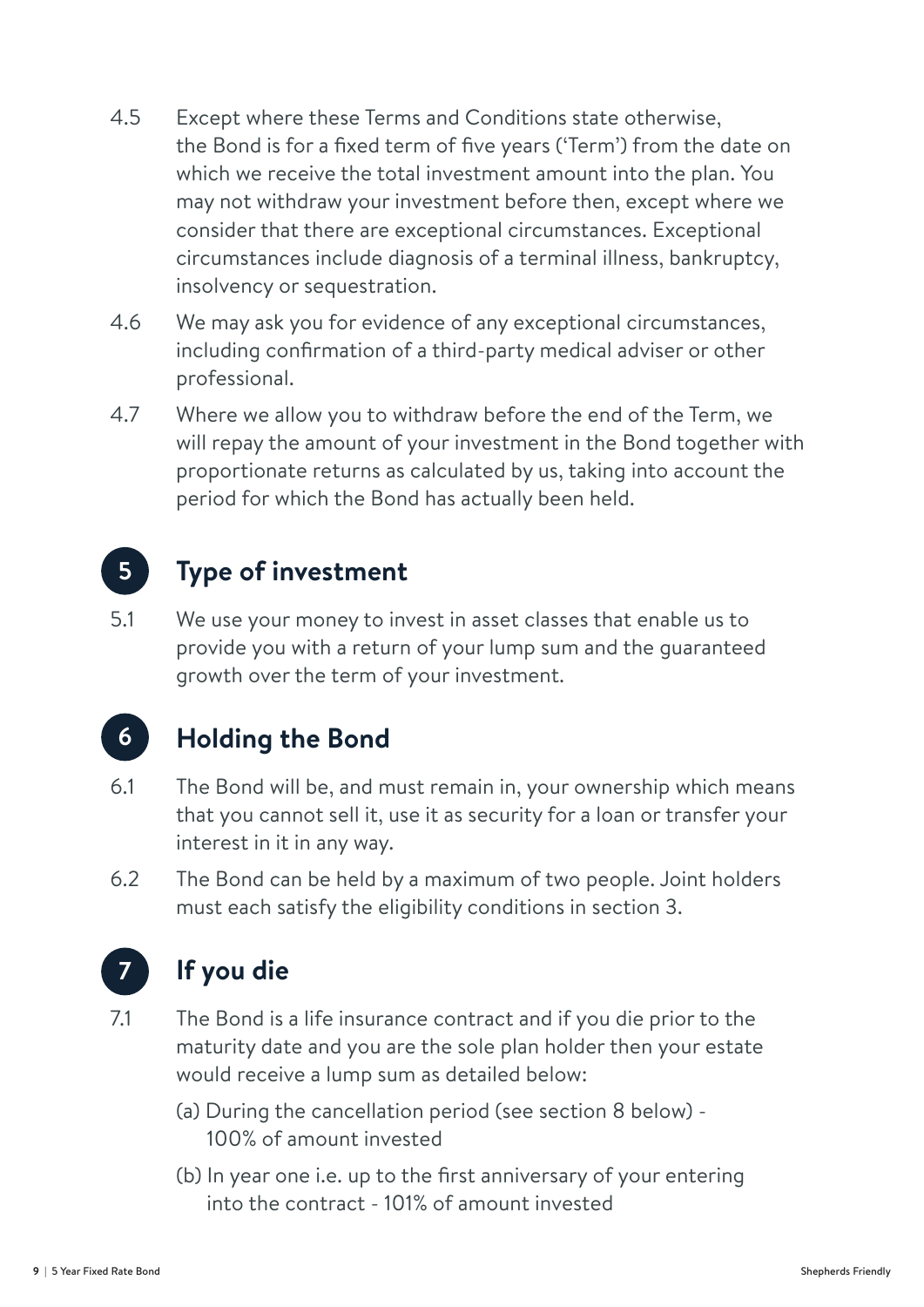- 4.5 Except where these Terms and Conditions state otherwise, the Bond is for a fixed term of five years ('Term') from the date on which we receive the total investment amount into the plan. You may not withdraw your investment before then, except where we consider that there are exceptional circumstances. Exceptional circumstances include diagnosis of a terminal illness, bankruptcy, insolvency or sequestration.
- 4.6 We may ask you for evidence of any exceptional circumstances, including confirmation of a third-party medical adviser or other professional.
- 4.7 Where we allow you to withdraw before the end of the Term, we will repay the amount of your investment in the Bond together with proportionate returns as calculated by us, taking into account the period for which the Bond has actually been held.

#### **5. Type of investment 5**

5.1 We use your money to invest in asset classes that enable us to provide you with a return of your lump sum and the guaranteed growth over the term of your investment.

### **6**

### **6. Holding the Bond**

- 6.1 The Bond will be, and must remain in, your ownership which means that you cannot sell it, use it as security for a loan or transfer your interest in it in any way.
- 6.2 The Bond can be held by a maximum of two people. Joint holders must each satisfy the eligibility conditions in section 3.



### **7. If you die**

7.1 The Bond is a life insurance contract and if you die prior to the maturity date and you are the sole plan holder then your estate would receive a lump sum as detailed below:

- (a) During the cancellation period (see section 8 below) 100% of amount invested
- (b) In year one i.e. up to the first anniversary of your entering into the contract - 101% of amount invested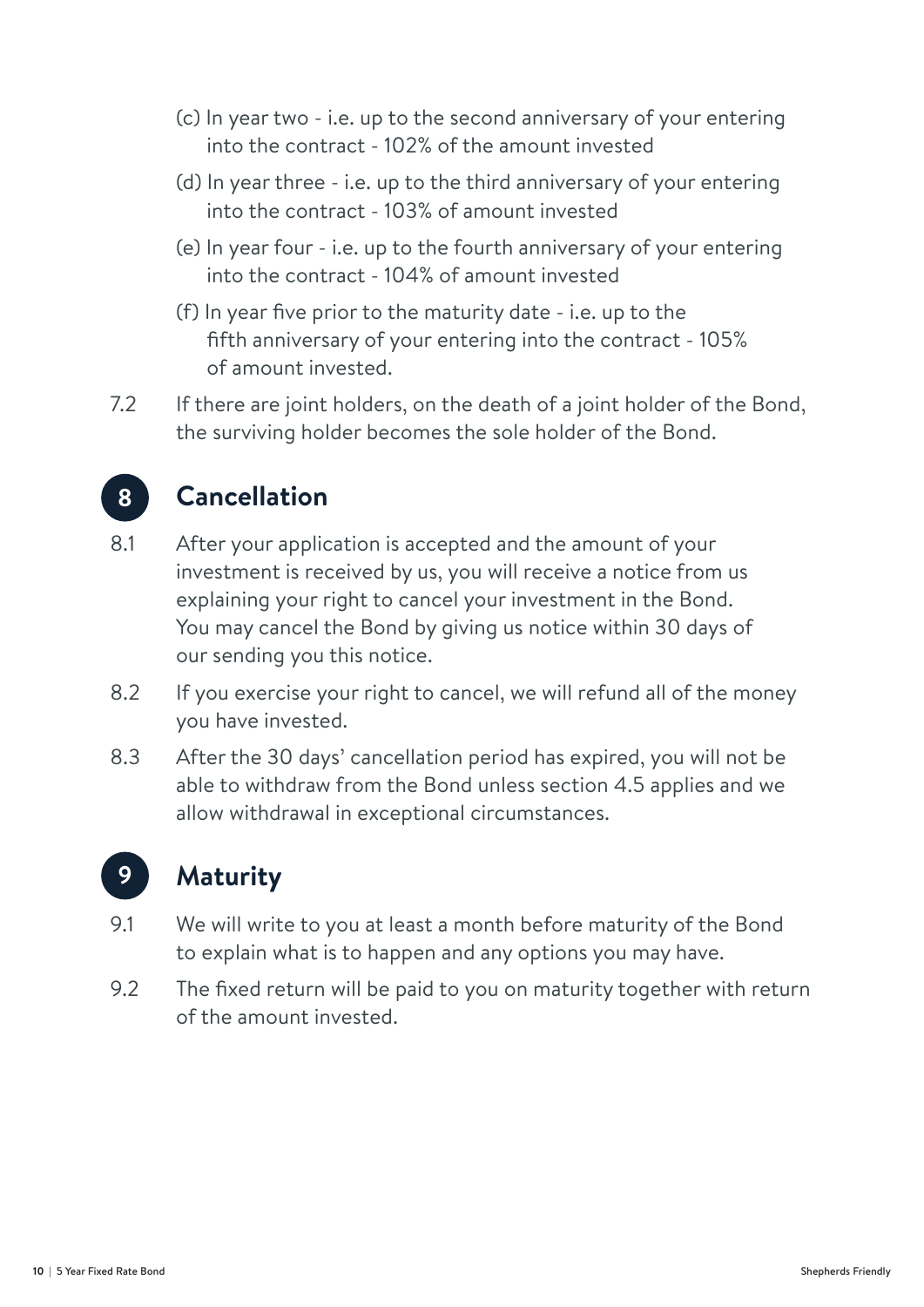- (c) In year two i.e. up to the second anniversary of your entering into the contract - 102% of the amount invested
- (d) In year three i.e. up to the third anniversary of your entering into the contract - 103% of amount invested
- (e) In year four i.e. up to the fourth anniversary of your entering into the contract - 104% of amount invested
- (f) In year five prior to the maturity date i.e. up to the fifth anniversary of your entering into the contract - 105% of amount invested.
- 7.2 If there are joint holders, on the death of a joint holder of the Bond, the surviving holder becomes the sole holder of the Bond.



### **8. Cancellation**

- 8.1 After your application is accepted and the amount of your investment is received by us, you will receive a notice from us explaining your right to cancel your investment in the Bond. You may cancel the Bond by giving us notice within 30 days of our sending you this notice.
- 8.2 If you exercise your right to cancel, we will refund all of the money you have invested.
- 8.3 After the 30 days' cancellation period has expired, you will not be able to withdraw from the Bond unless section 4.5 applies and we allow withdrawal in exceptional circumstances.



### **9. Maturity**

- 9.1 We will write to you at least a month before maturity of the Bond to explain what is to happen and any options you may have.
- 9.2 The fixed return will be paid to you on maturity together with return of the amount invested.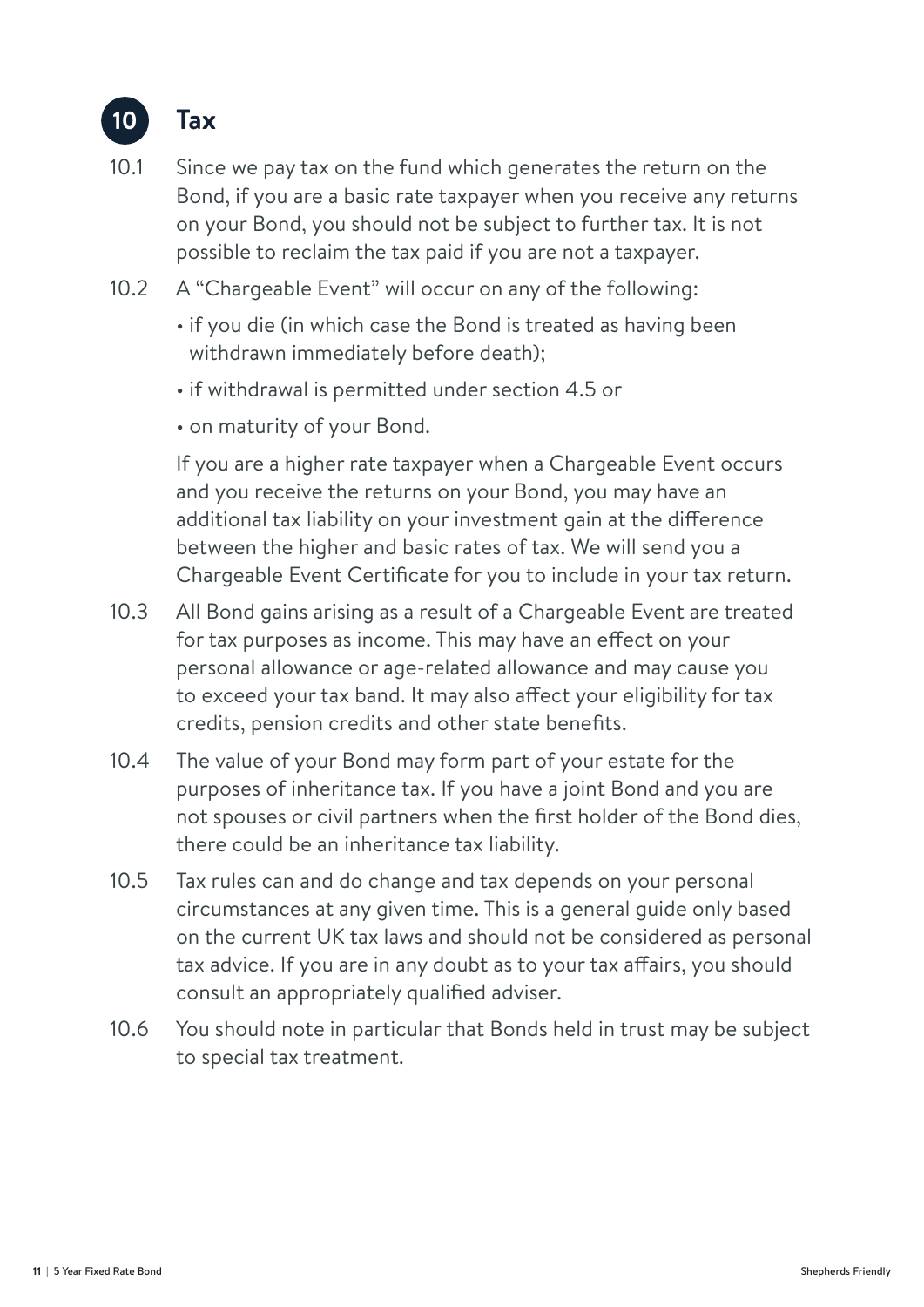

- 10.1 Since we pay tax on the fund which generates the return on the Bond, if you are a basic rate taxpayer when you receive any returns on your Bond, you should not be subject to further tax. It is not possible to reclaim the tax paid if you are not a taxpayer.
- 10.2 A "Chargeable Event" will occur on any of the following:
	- if you die (in which case the Bond is treated as having been withdrawn immediately before death);
	- if withdrawal is permitted under section 4.5 or
	- on maturity of your Bond.

If you are a higher rate taxpayer when a Chargeable Event occurs and you receive the returns on your Bond, you may have an additional tax liability on your investment gain at the difference between the higher and basic rates of tax. We will send you a Chargeable Event Certificate for you to include in your tax return.

- 10.3 All Bond gains arising as a result of a Chargeable Event are treated for tax purposes as income. This may have an effect on your personal allowance or age-related allowance and may cause you to exceed your tax band. It may also affect your eligibility for tax credits, pension credits and other state benefits.
- 10.4 The value of your Bond may form part of your estate for the purposes of inheritance tax. If you have a joint Bond and you are not spouses or civil partners when the first holder of the Bond dies, there could be an inheritance tax liability.
- 10.5 Tax rules can and do change and tax depends on your personal circumstances at any given time. This is a general guide only based on the current UK tax laws and should not be considered as personal tax advice. If you are in any doubt as to your tax affairs, you should consult an appropriately qualified adviser.
- 10.6 You should note in particular that Bonds held in trust may be subject to special tax treatment.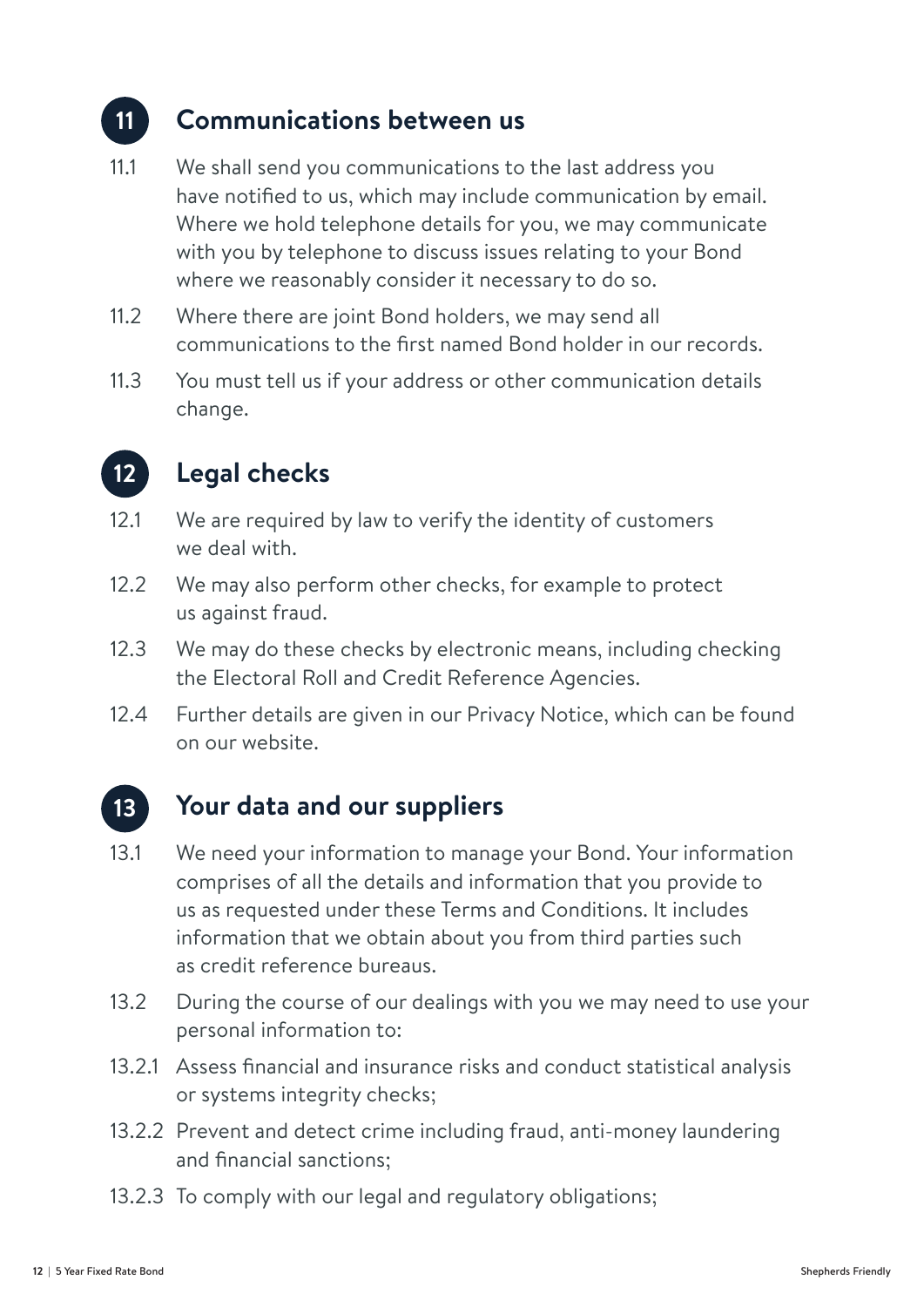#### **11. Communications between us 11**

- 11.1 We shall send you communications to the last address you have notified to us, which may include communication by email. Where we hold telephone details for you, we may communicate with you by telephone to discuss issues relating to your Bond where we reasonably consider it necessary to do so.
- 11.2 Where there are joint Bond holders, we may send all communications to the first named Bond holder in our records.
- 11.3 You must tell us if your address or other communication details change.



### **12. Legal checks**

- 12.1 We are required by law to verify the identity of customers we deal with.
- 12.2 We may also perform other checks, for example to protect us against fraud.
- 12.3 We may do these checks by electronic means, including checking the Electoral Roll and Credit Reference Agencies.
- 12.4 Further details are given in our Privacy Notice, which can be found on our website.

#### **13. Your data and our suppliers 13**

- 13.1 We need your information to manage your Bond. Your information comprises of all the details and information that you provide to us as requested under these Terms and Conditions. It includes information that we obtain about you from third parties such as credit reference bureaus.
- 13.2 During the course of our dealings with you we may need to use your personal information to:
- 13.2.1 Assess financial and insurance risks and conduct statistical analysis or systems integrity checks;
- 13.2.2 Prevent and detect crime including fraud, anti-money laundering and financial sanctions;
- 13.2.3 To comply with our legal and regulatory obligations;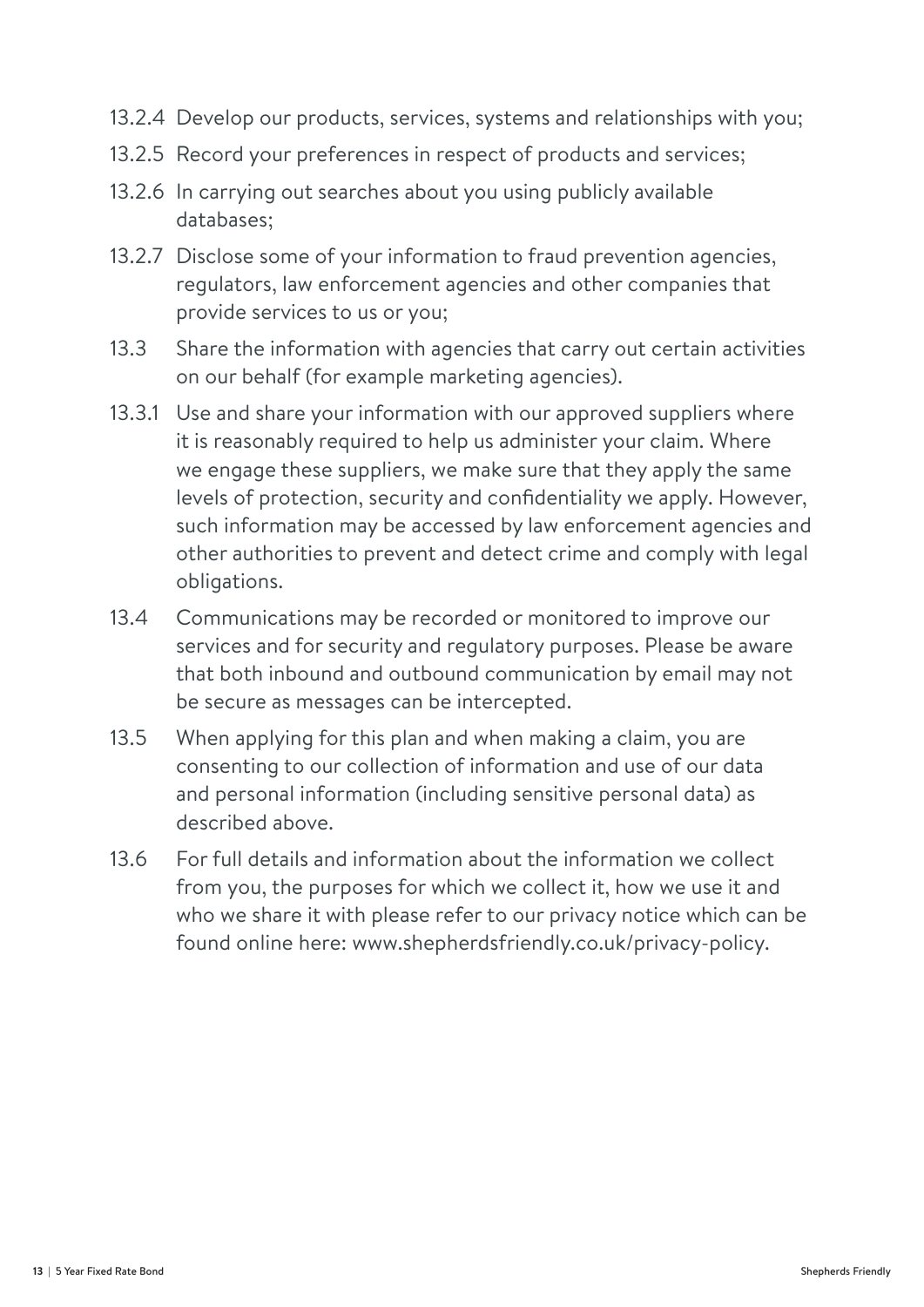- 13.2.4 Develop our products, services, systems and relationships with you;
- 13.2.5 Record your preferences in respect of products and services;
- 13.2.6 In carrying out searches about you using publicly available databases;
- 13.2.7 Disclose some of your information to fraud prevention agencies, regulators, law enforcement agencies and other companies that provide services to us or you;
- 13.3 Share the information with agencies that carry out certain activities on our behalf (for example marketing agencies).
- 13.3.1 Use and share your information with our approved suppliers where it is reasonably required to help us administer your claim. Where we engage these suppliers, we make sure that they apply the same levels of protection, security and confidentiality we apply. However, such information may be accessed by law enforcement agencies and other authorities to prevent and detect crime and comply with legal obligations.
- 13.4 Communications may be recorded or monitored to improve our services and for security and regulatory purposes. Please be aware that both inbound and outbound communication by email may not be secure as messages can be intercepted.
- 13.5 When applying for this plan and when making a claim, you are consenting to our collection of information and use of our data and personal information (including sensitive personal data) as described above.
- 13.6 For full details and information about the information we collect from you, the purposes for which we collect it, how we use it and who we share it with please refer to our privacy notice which can be found online here: www.shepherdsfriendly.co.uk/privacy-policy.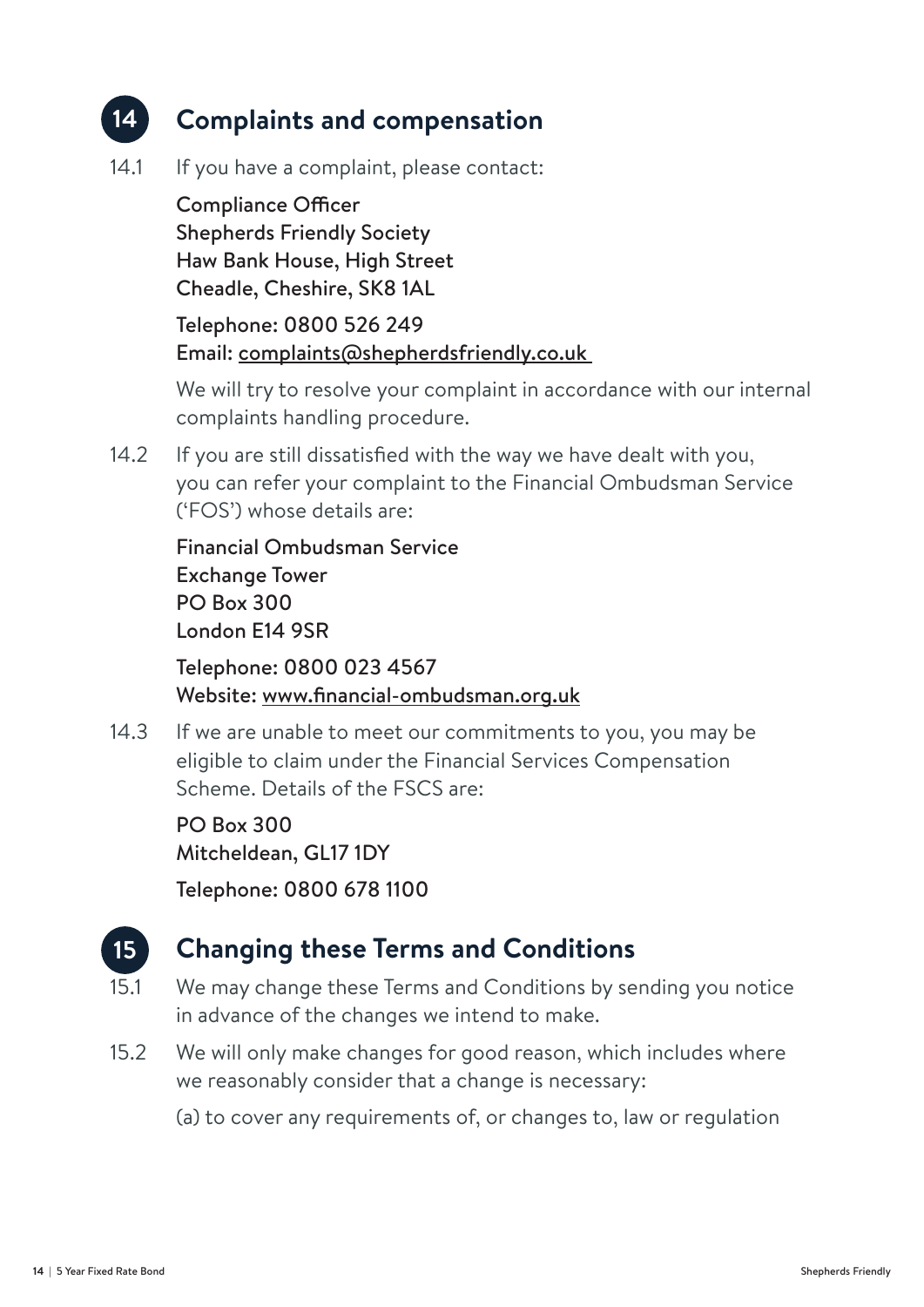#### **14. Complaints and compensation 14**

14.1 If you have a complaint, please contact:

Compliance Officer Shepherds Friendly Society Haw Bank House, High Street Cheadle, Cheshire, SK8 1AL

Telephone: 0800 526 249 Email: complaints@shepherdsfriendly.co.uk

We will try to resolve your complaint in accordance with our internal complaints handling procedure.

14.2 If you are still dissatisfied with the way we have dealt with you, you can refer your complaint to the Financial Ombudsman Service ('FOS') whose details are:

Financial Ombudsman Service Exchange Tower PO Box 300 London E14 9SR

Telephone: 0800 023 4567 Website: www.financial-ombudsman.org.uk

14.3 If we are unable to meet our commitments to you, you may be eligible to claim under the Financial Services Compensation Scheme. Details of the FSCS are:

> PO Box 300 Mitcheldean, GL17 1DY

Telephone: 0800 678 1100



### **15. Changing these Terms and Conditions**

- 15.1 We may change these Terms and Conditions by sending you notice in advance of the changes we intend to make.
- 15.2 We will only make changes for good reason, which includes where we reasonably consider that a change is necessary:
	- (a) to cover any requirements of, or changes to, law or regulation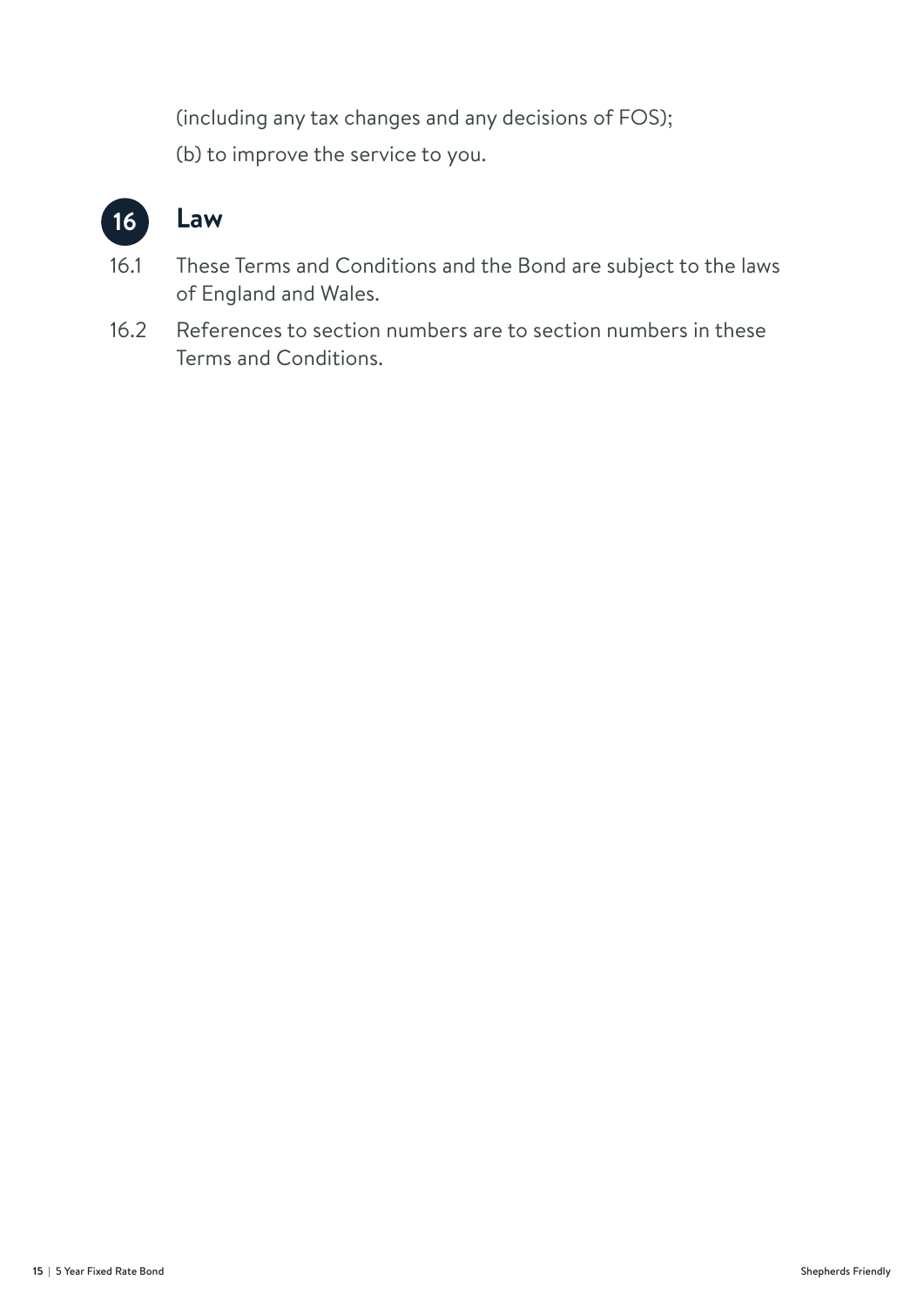(including any tax changes and any decisions of FOS); (b) to improve the service to you.



### **16. Law**

- 16.1 These Terms and Conditions and the Bond are subject to the laws of England and Wales.
- 16.2 References to section numbers are to section numbers in these Terms and Conditions.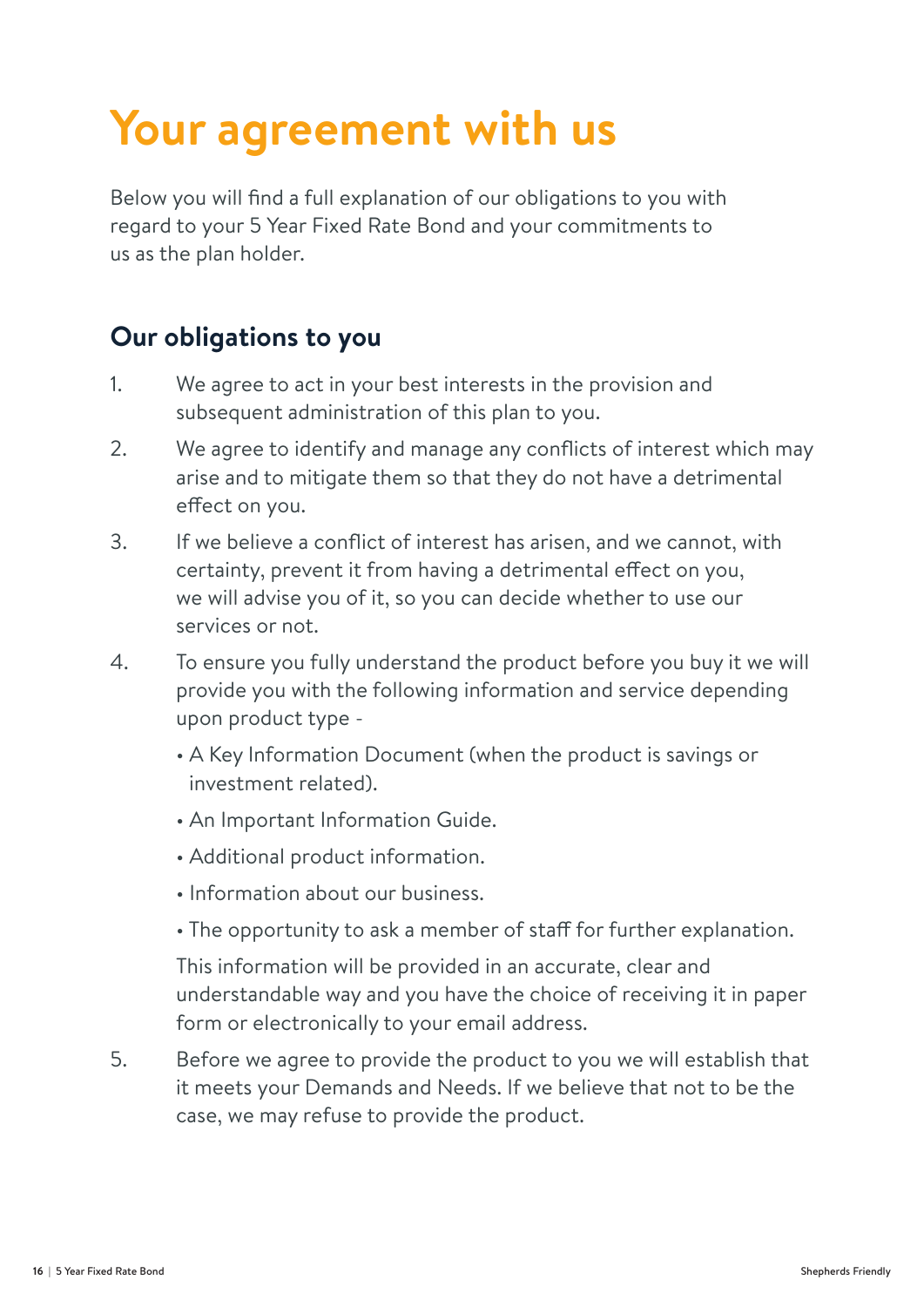# **Your agreement with us**

Below you will find a full explanation of our obligations to you with regard to your 5 Year Fixed Rate Bond and your commitments to us as the plan holder.

### **Our obligations to you**

- 1. We agree to act in your best interests in the provision and subsequent administration of this plan to you.
- 2. We agree to identify and manage any conflicts of interest which may arise and to mitigate them so that they do not have a detrimental effect on you.
- 3. If we believe a conflict of interest has arisen, and we cannot, with certainty, prevent it from having a detrimental effect on you, we will advise you of it, so you can decide whether to use our services or not.
- 4. To ensure you fully understand the product before you buy it we will provide you with the following information and service depending upon product type -
	- A Key Information Document (when the product is savings or investment related).
	- An Important Information Guide.
	- Additional product information.
	- Information about our business.
	- The opportunity to ask a member of staff for further explanation.

This information will be provided in an accurate, clear and understandable way and you have the choice of receiving it in paper form or electronically to your email address.

5. Before we agree to provide the product to you we will establish that it meets your Demands and Needs. If we believe that not to be the case, we may refuse to provide the product.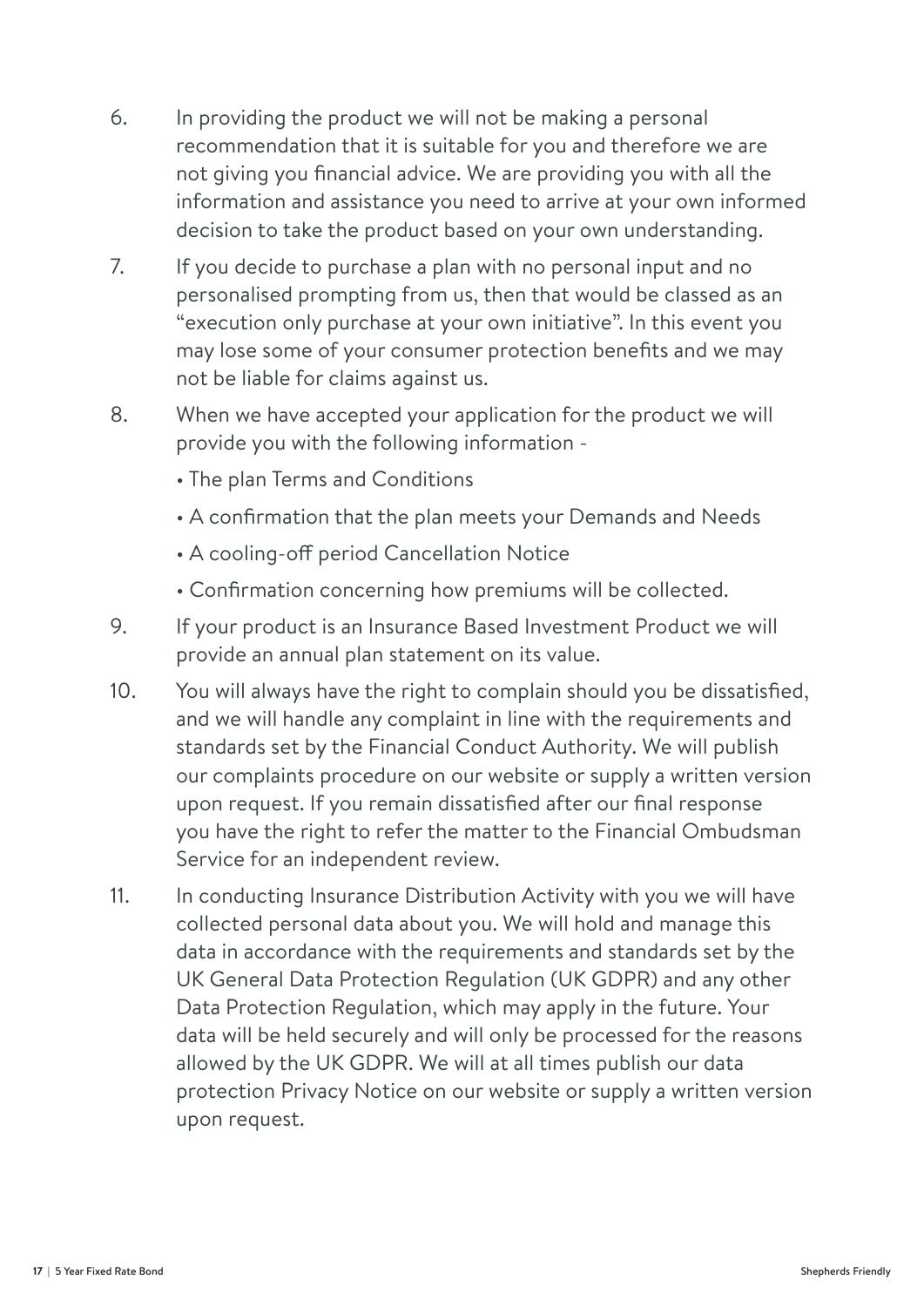- 6. In providing the product we will not be making a personal recommendation that it is suitable for you and therefore we are not giving you financial advice. We are providing you with all the information and assistance you need to arrive at your own informed decision to take the product based on your own understanding.
- 7. If you decide to purchase a plan with no personal input and no personalised prompting from us, then that would be classed as an "execution only purchase at your own initiative". In this event you may lose some of your consumer protection benefits and we may not be liable for claims against us.
- 8. When we have accepted your application for the product we will provide you with the following information -
	- The plan Terms and Conditions
	- A confirmation that the plan meets your Demands and Needs
	- A cooling-off period Cancellation Notice
	- Confirmation concerning how premiums will be collected.
- 9. If your product is an Insurance Based Investment Product we will provide an annual plan statement on its value.
- 10. You will always have the right to complain should you be dissatisfied, and we will handle any complaint in line with the requirements and standards set by the Financial Conduct Authority. We will publish our complaints procedure on our website or supply a written version upon request. If you remain dissatisfied after our final response you have the right to refer the matter to the Financial Ombudsman Service for an independent review.
- 11. In conducting Insurance Distribution Activity with you we will have collected personal data about you. We will hold and manage this data in accordance with the requirements and standards set by the UK General Data Protection Regulation (UK GDPR) and any other Data Protection Regulation, which may apply in the future. Your data will be held securely and will only be processed for the reasons allowed by the UK GDPR. We will at all times publish our data protection Privacy Notice on our website or supply a written version upon request.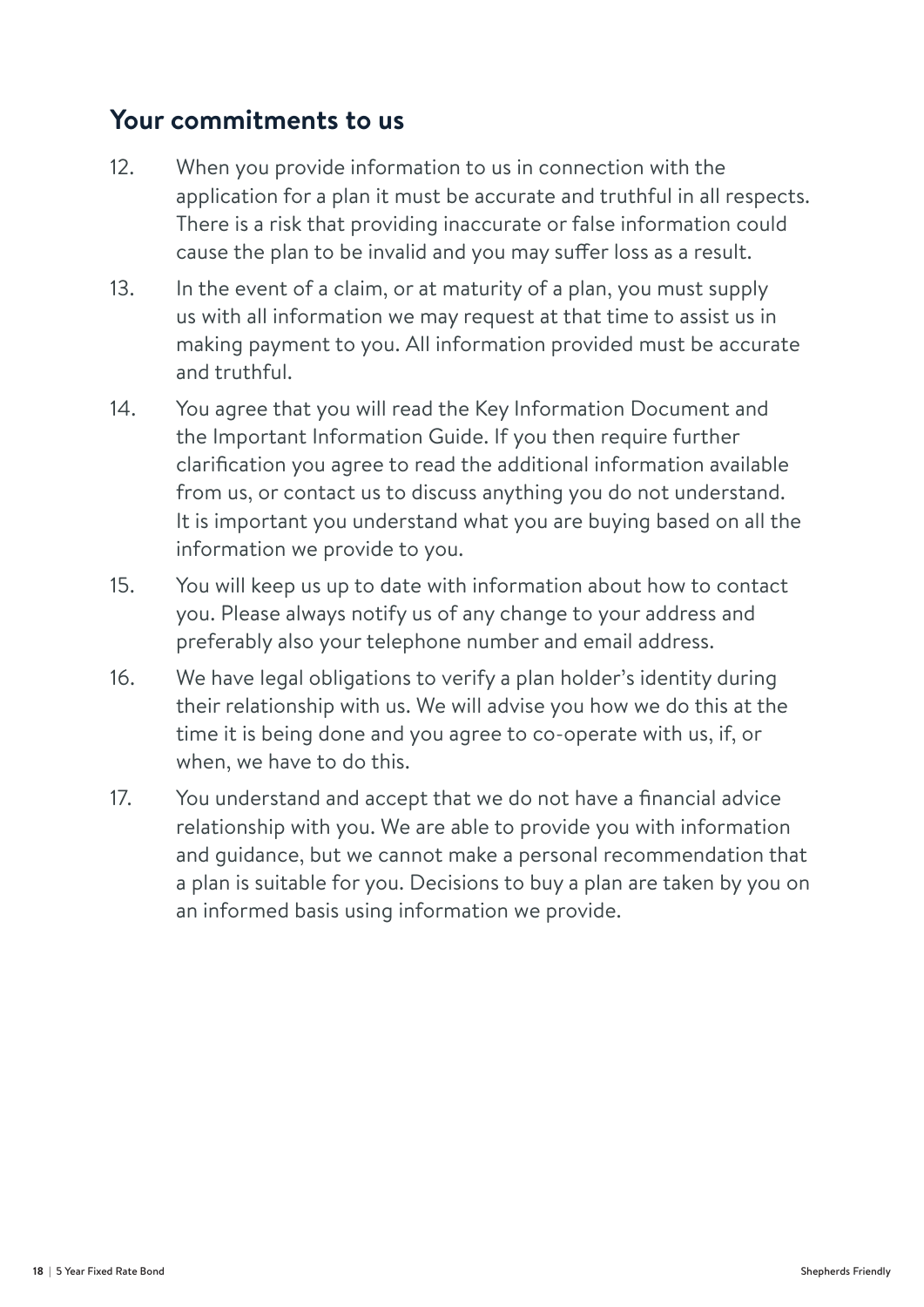### **Your commitments to us**

- 12. When you provide information to us in connection with the application for a plan it must be accurate and truthful in all respects. There is a risk that providing inaccurate or false information could cause the plan to be invalid and you may suffer loss as a result.
- 13. In the event of a claim, or at maturity of a plan, you must supply us with all information we may request at that time to assist us in making payment to you. All information provided must be accurate and truthful.
- 14. You agree that you will read the Key Information Document and the Important Information Guide. If you then require further clarification you agree to read the additional information available from us, or contact us to discuss anything you do not understand. It is important you understand what you are buying based on all the information we provide to you.
- 15. You will keep us up to date with information about how to contact you. Please always notify us of any change to your address and preferably also your telephone number and email address.
- 16. We have legal obligations to verify a plan holder's identity during their relationship with us. We will advise you how we do this at the time it is being done and you agree to co-operate with us, if, or when, we have to do this.
- 17. You understand and accept that we do not have a financial advice relationship with you. We are able to provide you with information and guidance, but we cannot make a personal recommendation that a plan is suitable for you. Decisions to buy a plan are taken by you on an informed basis using information we provide.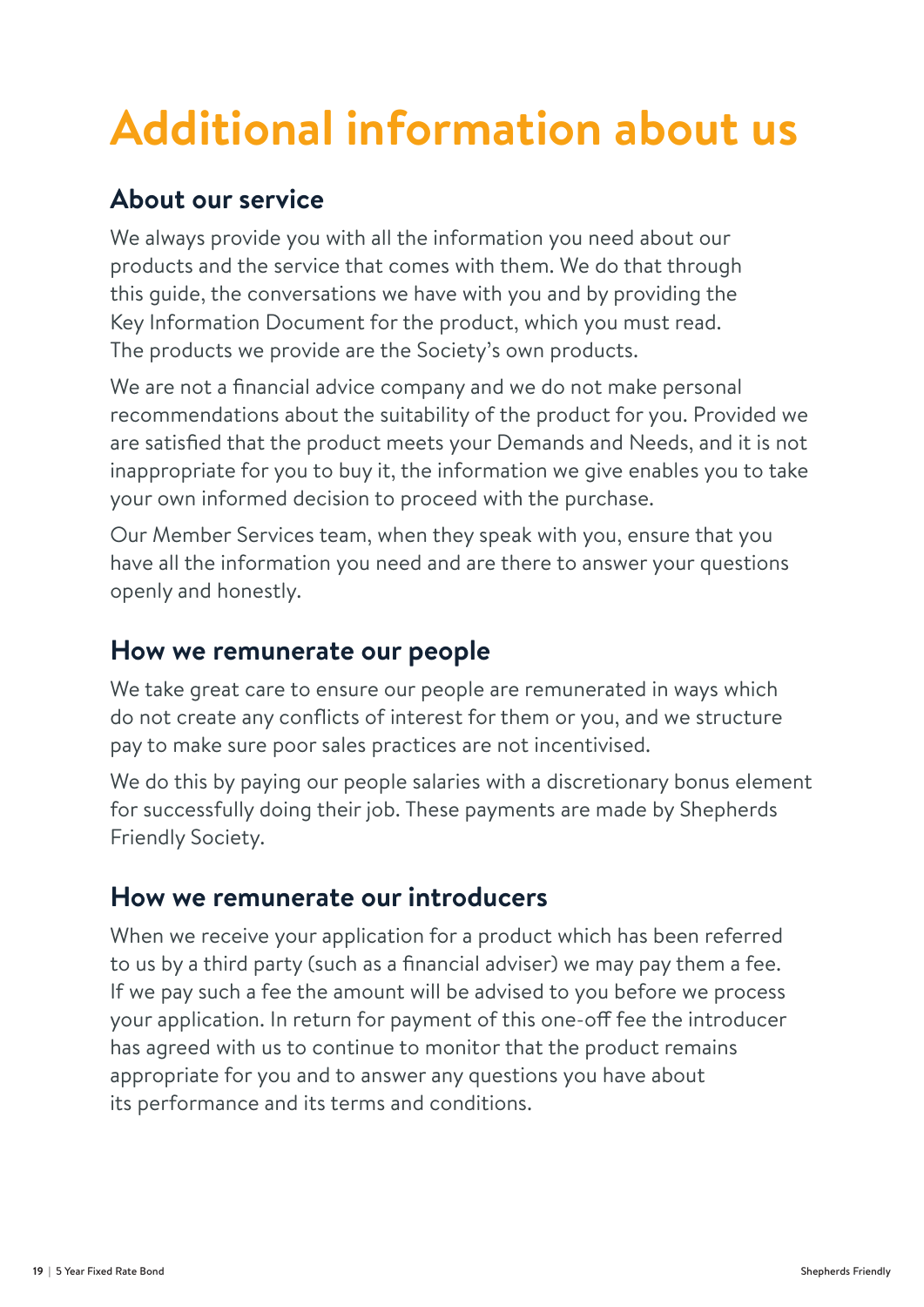# **Additional information about us**

### **About our service**

We always provide you with all the information you need about our products and the service that comes with them. We do that through this guide, the conversations we have with you and by providing the Key Information Document for the product, which you must read. The products we provide are the Society's own products.

We are not a financial advice company and we do not make personal recommendations about the suitability of the product for you. Provided we are satisfied that the product meets your Demands and Needs, and it is not inappropriate for you to buy it, the information we give enables you to take your own informed decision to proceed with the purchase.

Our Member Services team, when they speak with you, ensure that you have all the information you need and are there to answer your questions openly and honestly.

### **How we remunerate our people**

We take great care to ensure our people are remunerated in ways which do not create any conflicts of interest for them or you, and we structure pay to make sure poor sales practices are not incentivised.

We do this by paying our people salaries with a discretionary bonus element for successfully doing their job. These payments are made by Shepherds Friendly Society.

### **How we remunerate our introducers**

When we receive your application for a product which has been referred to us by a third party (such as a financial adviser) we may pay them a fee. If we pay such a fee the amount will be advised to you before we process your application. In return for payment of this one-off fee the introducer has agreed with us to continue to monitor that the product remains appropriate for you and to answer any questions you have about its performance and its terms and conditions.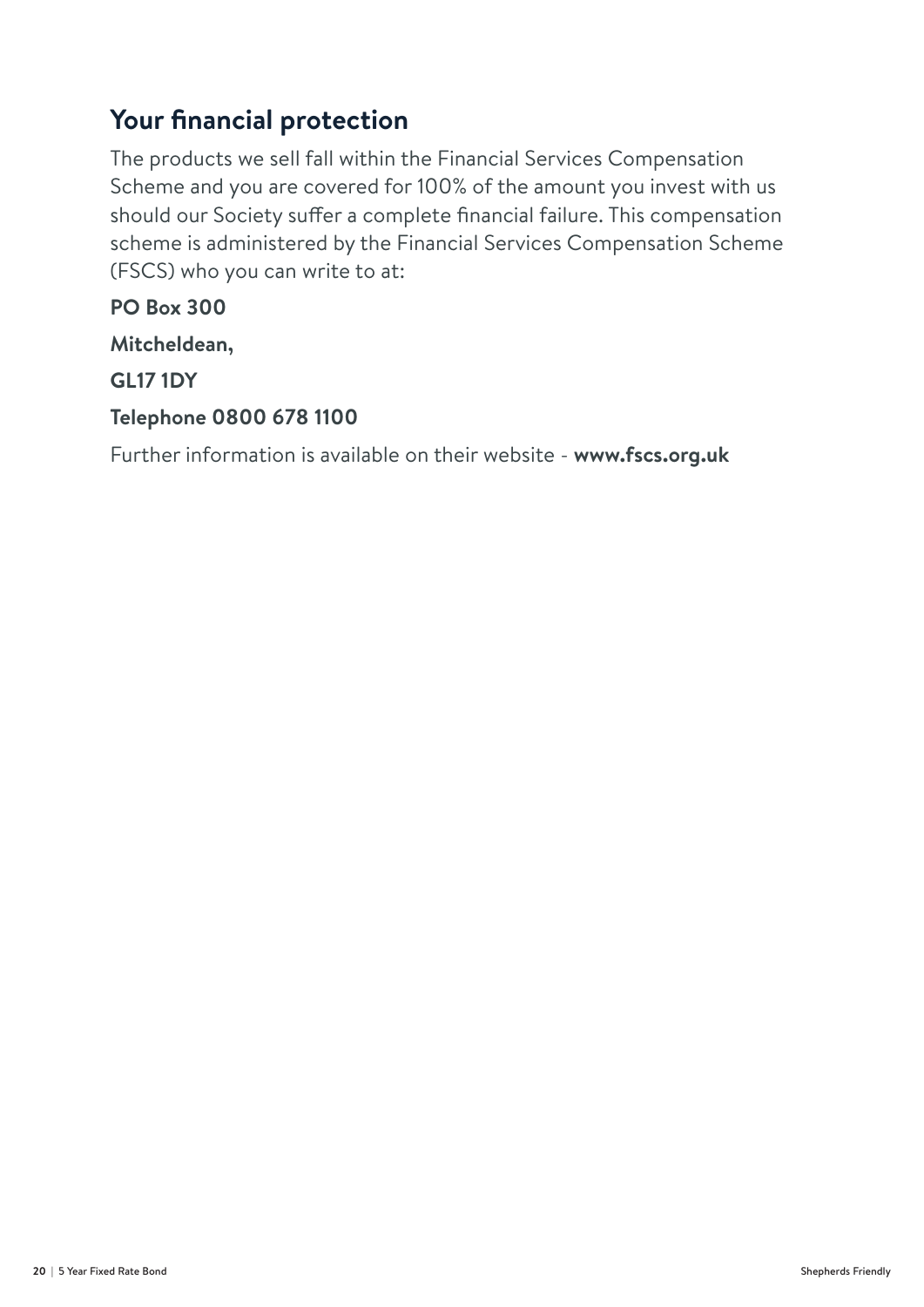### **Your financial protection**

The products we sell fall within the Financial Services Compensation Scheme and you are covered for 100% of the amount you invest with us should our Society suffer a complete financial failure. This compensation scheme is administered by the Financial Services Compensation Scheme (FSCS) who you can write to at:

**PO Box 300**

**Mitcheldean,**

**GL17 1DY**

#### **Telephone 0800 678 1100**

Further information is available on their website - **www.fscs.org.uk**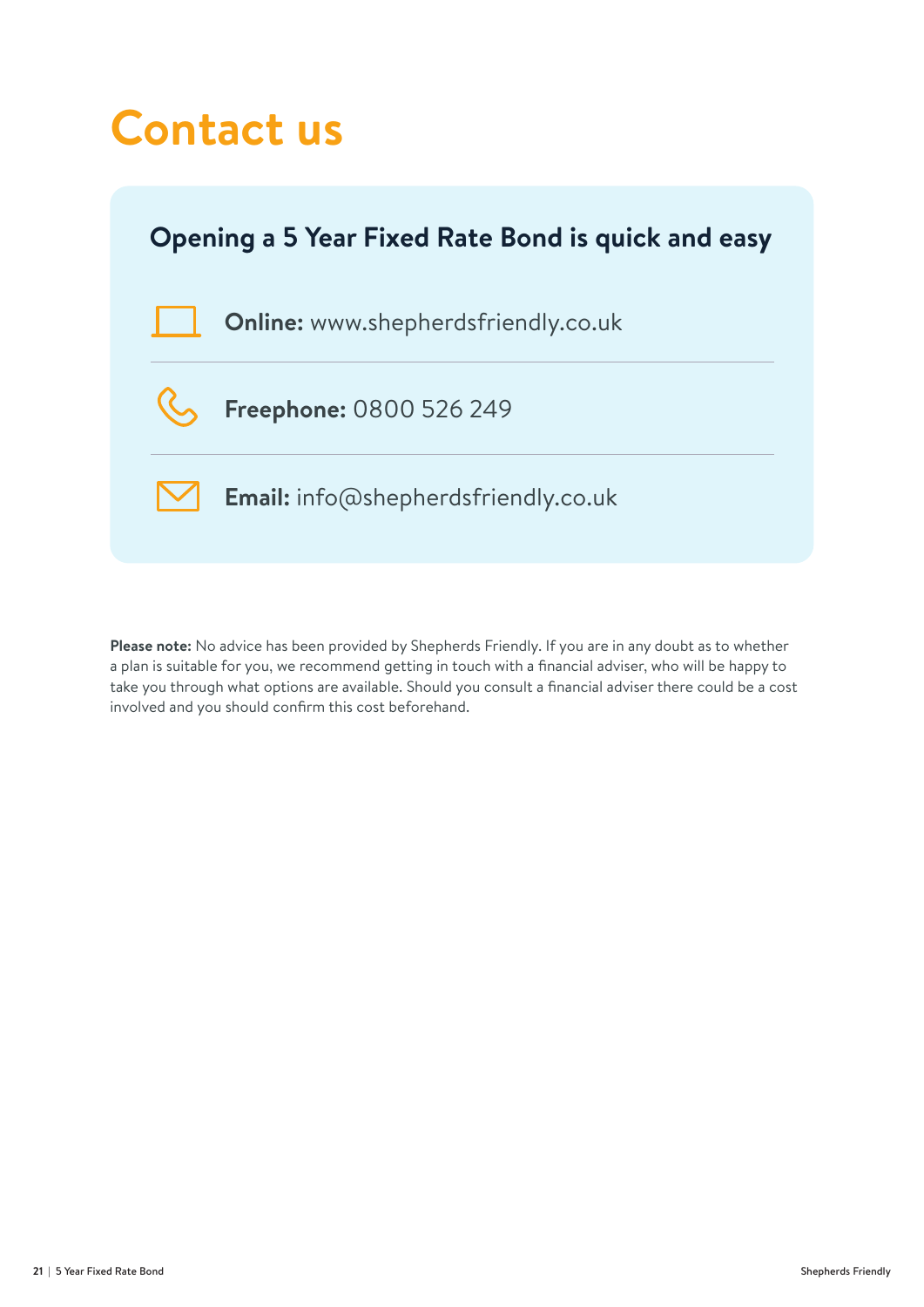## **Contact us**



**Please note:** No advice has been provided by Shepherds Friendly. If you are in any doubt as to whether a plan is suitable for you, we recommend getting in touch with a financial adviser, who will be happy to take you through what options are available. Should you consult a financial adviser there could be a cost involved and you should confirm this cost beforehand.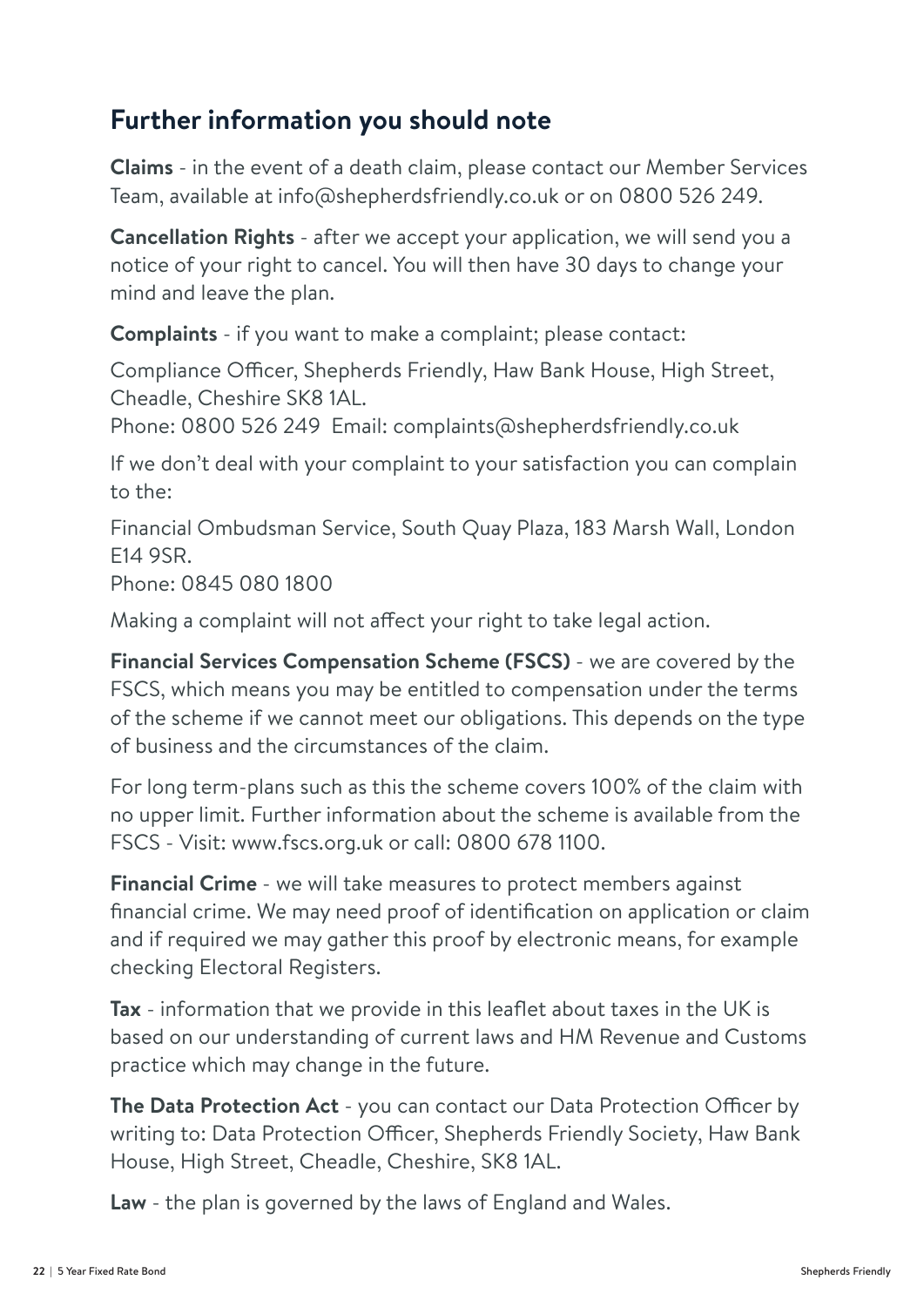### **Further information you should note**

**Claims** - in the event of a death claim, please contact our Member Services Team, available at info@shepherdsfriendly.co.uk or on 0800 526 249.

**Cancellation Rights** - after we accept your application, we will send you a notice of your right to cancel. You will then have 30 days to change your mind and leave the plan.

**Complaints** - if you want to make a complaint; please contact:

Compliance Officer, Shepherds Friendly, Haw Bank House, High Street, Cheadle, Cheshire SK8 1AL.

Phone: 0800 526 249 Email: complaints@shepherdsfriendly.co.uk

If we don't deal with your complaint to your satisfaction you can complain to the:

Financial Ombudsman Service, South Quay Plaza, 183 Marsh Wall, London E14 9SR.

Phone: 0845 080 1800

Making a complaint will not affect your right to take legal action.

**Financial Services Compensation Scheme (FSCS)** - we are covered by the FSCS, which means you may be entitled to compensation under the terms of the scheme if we cannot meet our obligations. This depends on the type of business and the circumstances of the claim.

For long term-plans such as this the scheme covers 100% of the claim with no upper limit. Further information about the scheme is available from the FSCS - Visit: www.fscs.org.uk or call: 0800 678 1100.

**Financial Crime** - we will take measures to protect members against financial crime. We may need proof of identification on application or claim and if required we may gather this proof by electronic means, for example checking Electoral Registers.

**Tax** - information that we provide in this leaflet about taxes in the UK is based on our understanding of current laws and HM Revenue and Customs practice which may change in the future.

**The Data Protection Act** - you can contact our Data Protection Officer by writing to: Data Protection Officer, Shepherds Friendly Society, Haw Bank House, High Street, Cheadle, Cheshire, SK8 1AL.

**Law** - the plan is governed by the laws of England and Wales.